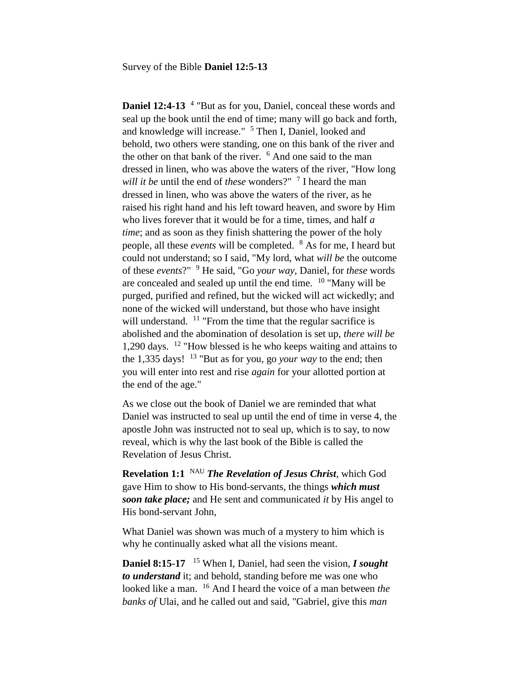Survey of the Bible **Daniel 12:5-13**

**Daniel 12:4-13** <sup>4</sup> "But as for you, Daniel, conceal these words and seal up the book until the end of time; many will go back and forth, and knowledge will increase." <sup>5</sup> Then I, Daniel, looked and behold, two others were standing, one on this bank of the river and the other on that bank of the river. <sup>6</sup> And one said to the man dressed in linen, who was above the waters of the river, "How long will it be until the end of *these* wonders?" <sup>7</sup> I heard the man dressed in linen, who was above the waters of the river, as he raised his right hand and his left toward heaven, and swore by Him who lives forever that it would be for a time, times, and half *a time*; and as soon as they finish shattering the power of the holy people, all these *events* will be completed. <sup>8</sup> As for me, I heard but could not understand; so I said, "My lord, what *will be* the outcome of these *events*?" <sup>9</sup> He said, "Go *your way*, Daniel, for *these* words are concealed and sealed up until the end time. <sup>10</sup> "Many will be purged, purified and refined, but the wicked will act wickedly; and none of the wicked will understand, but those who have insight will understand.  $11$  "From the time that the regular sacrifice is abolished and the abomination of desolation is set up, *there will be*  1,290 days. <sup>12</sup> "How blessed is he who keeps waiting and attains to the 1,335 days! <sup>13</sup> "But as for you, go *your way* to the end; then you will enter into rest and rise *again* for your allotted portion at the end of the age."

As we close out the book of Daniel we are reminded that what Daniel was instructed to seal up until the end of time in verse 4, the apostle John was instructed not to seal up, which is to say, to now reveal, which is why the last book of the Bible is called the Revelation of Jesus Christ.

**Revelation 1:1** NAU *The Revelation of Jesus Christ*, which God gave Him to show to His bond-servants, the things *which must soon take place;* and He sent and communicated *it* by His angel to His bond-servant John,

What Daniel was shown was much of a mystery to him which is why he continually asked what all the visions meant.

**Daniel 8:15-17**  <sup>15</sup> When I, Daniel, had seen the vision, *I sought to understand* it; and behold, standing before me was one who looked like a man. <sup>16</sup> And I heard the voice of a man between *the banks of* Ulai, and he called out and said, "Gabriel, give this *man*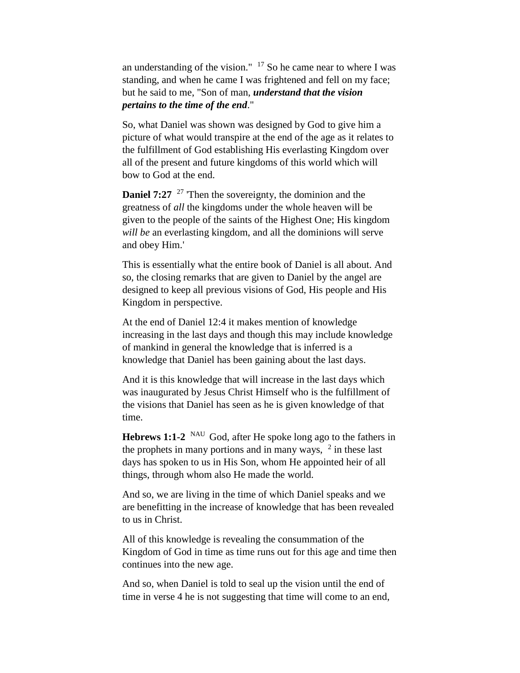an understanding of the vision."  $17$  So he came near to where I was standing, and when he came I was frightened and fell on my face; but he said to me, "Son of man, *understand that the vision pertains to the time of the end*."

So, what Daniel was shown was designed by God to give him a picture of what would transpire at the end of the age as it relates to the fulfillment of God establishing His everlasting Kingdom over all of the present and future kingdoms of this world which will bow to God at the end.

**Daniel 7:27** <sup>27</sup> Then the sovereignty, the dominion and the greatness of *all* the kingdoms under the whole heaven will be given to the people of the saints of the Highest One; His kingdom *will be* an everlasting kingdom, and all the dominions will serve and obey Him.'

This is essentially what the entire book of Daniel is all about. And so, the closing remarks that are given to Daniel by the angel are designed to keep all previous visions of God, His people and His Kingdom in perspective.

At the end of Daniel 12:4 it makes mention of knowledge increasing in the last days and though this may include knowledge of mankind in general the knowledge that is inferred is a knowledge that Daniel has been gaining about the last days.

And it is this knowledge that will increase in the last days which was inaugurated by Jesus Christ Himself who is the fulfillment of the visions that Daniel has seen as he is given knowledge of that time.

**Hebrews 1:1-2** <sup>NAU</sup> God, after He spoke long ago to the fathers in the prophets in many portions and in many ways,  $2$  in these last days has spoken to us in His Son, whom He appointed heir of all things, through whom also He made the world.

And so, we are living in the time of which Daniel speaks and we are benefitting in the increase of knowledge that has been revealed to us in Christ.

All of this knowledge is revealing the consummation of the Kingdom of God in time as time runs out for this age and time then continues into the new age.

And so, when Daniel is told to seal up the vision until the end of time in verse 4 he is not suggesting that time will come to an end,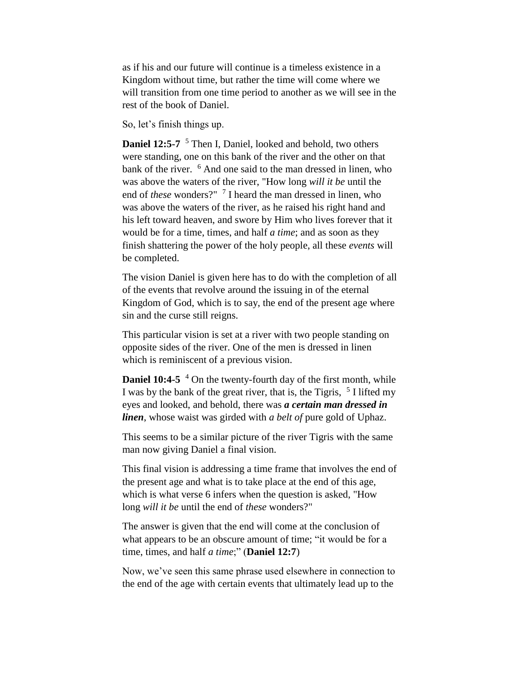as if his and our future will continue is a timeless existence in a Kingdom without time, but rather the time will come where we will transition from one time period to another as we will see in the rest of the book of Daniel.

So, let's finish things up.

**Daniel 12:5-7** <sup>5</sup> Then I, Daniel, looked and behold, two others were standing, one on this bank of the river and the other on that bank of the river. <sup>6</sup> And one said to the man dressed in linen, who was above the waters of the river, "How long *will it be* until the end of *these* wonders?" <sup>7</sup> I heard the man dressed in linen, who was above the waters of the river, as he raised his right hand and his left toward heaven, and swore by Him who lives forever that it would be for a time, times, and half *a time*; and as soon as they finish shattering the power of the holy people, all these *events* will be completed.

The vision Daniel is given here has to do with the completion of all of the events that revolve around the issuing in of the eternal Kingdom of God, which is to say, the end of the present age where sin and the curse still reigns.

This particular vision is set at a river with two people standing on opposite sides of the river. One of the men is dressed in linen which is reminiscent of a previous vision.

**Daniel 10:4-5** <sup>4</sup> On the twenty-fourth day of the first month, while I was by the bank of the great river, that is, the Tigris, <sup>5</sup> I lifted my eyes and looked, and behold, there was *a certain man dressed in linen*, whose waist was girded with *a belt of* pure gold of Uphaz.

This seems to be a similar picture of the river Tigris with the same man now giving Daniel a final vision.

This final vision is addressing a time frame that involves the end of the present age and what is to take place at the end of this age, which is what verse 6 infers when the question is asked, "How long *will it be* until the end of *these* wonders?"

The answer is given that the end will come at the conclusion of what appears to be an obscure amount of time; "it would be for a time, times, and half *a time*;" (**Daniel 12:7**)

Now, we've seen this same phrase used elsewhere in connection to the end of the age with certain events that ultimately lead up to the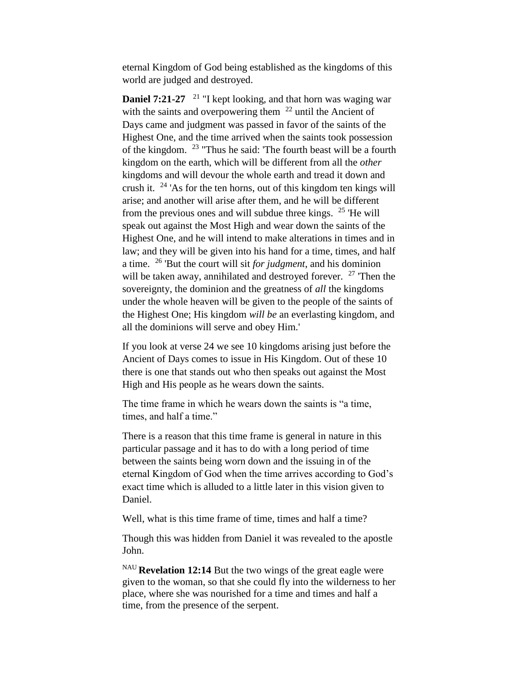eternal Kingdom of God being established as the kingdoms of this world are judged and destroyed.

**Daniel 7:21-27** <sup>21</sup> "I kept looking, and that horn was waging war with the saints and overpowering them  $22$  until the Ancient of Days came and judgment was passed in favor of the saints of the Highest One, and the time arrived when the saints took possession of the kingdom.  $23$  "Thus he said: The fourth beast will be a fourth kingdom on the earth, which will be different from all the *other*  kingdoms and will devour the whole earth and tread it down and crush it.  $24$  'As for the ten horns, out of this kingdom ten kings will arise; and another will arise after them, and he will be different from the previous ones and will subdue three kings. <sup>25</sup> 'He will speak out against the Most High and wear down the saints of the Highest One, and he will intend to make alterations in times and in law; and they will be given into his hand for a time, times, and half a time. <sup>26</sup> 'But the court will sit *for judgment*, and his dominion will be taken away, annihilated and destroyed forever.  $27$  Then the sovereignty, the dominion and the greatness of *all* the kingdoms under the whole heaven will be given to the people of the saints of the Highest One; His kingdom *will be* an everlasting kingdom, and all the dominions will serve and obey Him.'

If you look at verse 24 we see 10 kingdoms arising just before the Ancient of Days comes to issue in His Kingdom. Out of these 10 there is one that stands out who then speaks out against the Most High and His people as he wears down the saints.

The time frame in which he wears down the saints is "a time, times, and half a time."

There is a reason that this time frame is general in nature in this particular passage and it has to do with a long period of time between the saints being worn down and the issuing in of the eternal Kingdom of God when the time arrives according to God's exact time which is alluded to a little later in this vision given to Daniel.

Well, what is this time frame of time, times and half a time?

Though this was hidden from Daniel it was revealed to the apostle John.

NAU **Revelation 12:14** But the two wings of the great eagle were given to the woman, so that she could fly into the wilderness to her place, where she was nourished for a time and times and half a time, from the presence of the serpent.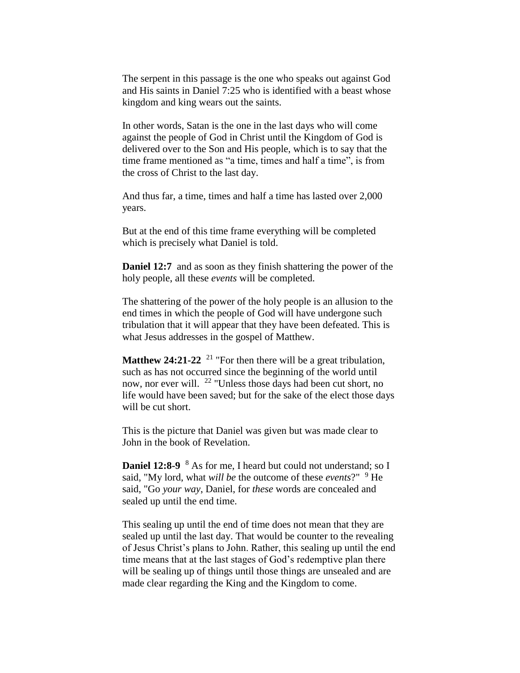The serpent in this passage is the one who speaks out against God and His saints in Daniel 7:25 who is identified with a beast whose kingdom and king wears out the saints.

In other words, Satan is the one in the last days who will come against the people of God in Christ until the Kingdom of God is delivered over to the Son and His people, which is to say that the time frame mentioned as "a time, times and half a time", is from the cross of Christ to the last day.

And thus far, a time, times and half a time has lasted over 2,000 years.

But at the end of this time frame everything will be completed which is precisely what Daniel is told.

**Daniel 12:7** and as soon as they finish shattering the power of the holy people, all these *events* will be completed.

The shattering of the power of the holy people is an allusion to the end times in which the people of God will have undergone such tribulation that it will appear that they have been defeated. This is what Jesus addresses in the gospel of Matthew.

**Matthew 24:21-22** <sup>21</sup> "For then there will be a great tribulation, such as has not occurred since the beginning of the world until now, nor ever will. <sup>22</sup> "Unless those days had been cut short, no life would have been saved; but for the sake of the elect those days will be cut short.

This is the picture that Daniel was given but was made clear to John in the book of Revelation.

**Daniel 12:8-9** <sup>8</sup> As for me, I heard but could not understand; so I said, "My lord, what *will be* the outcome of these *events*?" <sup>9</sup> He said, "Go *your way*, Daniel, for *these* words are concealed and sealed up until the end time.

This sealing up until the end of time does not mean that they are sealed up until the last day. That would be counter to the revealing of Jesus Christ's plans to John. Rather, this sealing up until the end time means that at the last stages of God's redemptive plan there will be sealing up of things until those things are unsealed and are made clear regarding the King and the Kingdom to come.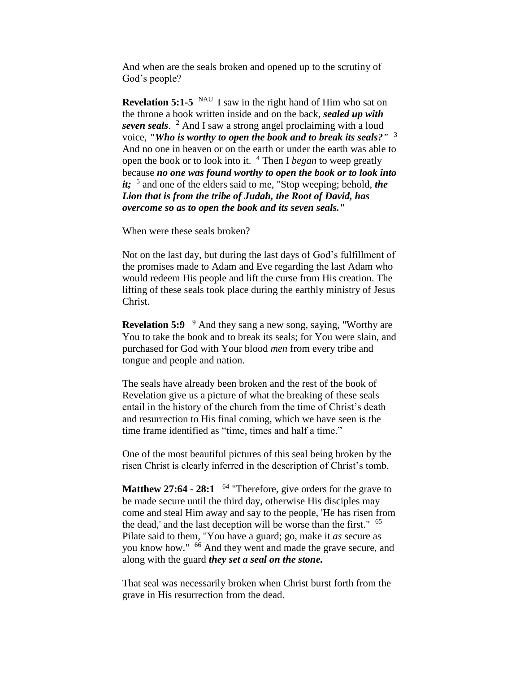And when are the seals broken and opened up to the scrutiny of God's people?

**Revelation 5:1-5** <sup>NAU</sup> I saw in the right hand of Him who sat on the throne a book written inside and on the back, *sealed up with seven seals*. <sup>2</sup> And I saw a strong angel proclaiming with a loud voice, *"Who is worthy to open the book and to break its seals?"* 3 And no one in heaven or on the earth or under the earth was able to open the book or to look into it. <sup>4</sup> Then I *began* to weep greatly because *no one was found worthy to open the book or to look into it;* 5 and one of the elders said to me, "Stop weeping; behold, *the Lion that is from the tribe of Judah, the Root of David, has overcome so as to open the book and its seven seals."*

When were these seals broken?

Not on the last day, but during the last days of God's fulfillment of the promises made to Adam and Eve regarding the last Adam who would redeem His people and lift the curse from His creation. The lifting of these seals took place during the earthly ministry of Jesus Christ.

**Revelation 5:9** <sup>9</sup> And they sang a new song, saying, "Worthy are You to take the book and to break its seals; for You were slain, and purchased for God with Your blood *men* from every tribe and tongue and people and nation.

The seals have already been broken and the rest of the book of Revelation give us a picture of what the breaking of these seals entail in the history of the church from the time of Christ's death and resurrection to His final coming, which we have seen is the time frame identified as "time, times and half a time."

One of the most beautiful pictures of this seal being broken by the risen Christ is clearly inferred in the description of Christ's tomb.

**Matthew 27:64 - 28:1** <sup>64</sup> "Therefore, give orders for the grave to be made secure until the third day, otherwise His disciples may come and steal Him away and say to the people, 'He has risen from the dead,' and the last deception will be worse than the first." <sup>65</sup> Pilate said to them, "You have a guard; go, make it *as* secure as you know how." <sup>66</sup> And they went and made the grave secure, and along with the guard *they set a seal on the stone.*

That seal was necessarily broken when Christ burst forth from the grave in His resurrection from the dead.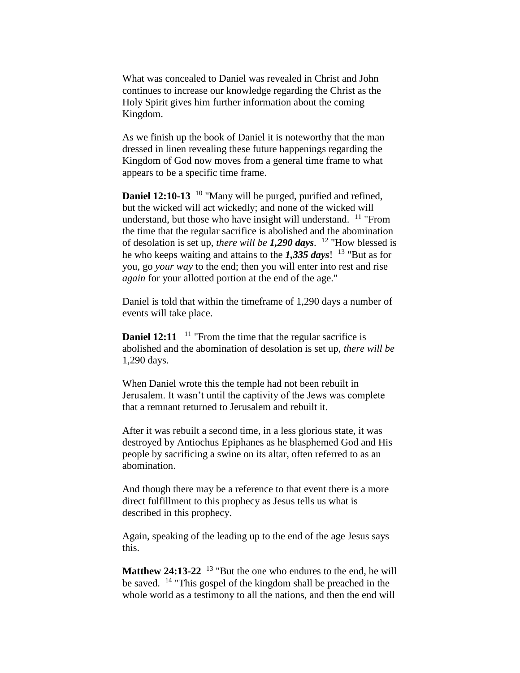What was concealed to Daniel was revealed in Christ and John continues to increase our knowledge regarding the Christ as the Holy Spirit gives him further information about the coming Kingdom.

As we finish up the book of Daniel it is noteworthy that the man dressed in linen revealing these future happenings regarding the Kingdom of God now moves from a general time frame to what appears to be a specific time frame.

**Daniel 12:10-13** <sup>10</sup> "Many will be purged, purified and refined, but the wicked will act wickedly; and none of the wicked will understand, but those who have insight will understand.  $11$  "From the time that the regular sacrifice is abolished and the abomination of desolation is set up, *there will be 1,290 days*. <sup>12</sup> "How blessed is he who keeps waiting and attains to the 1,335 days! <sup>13</sup> "But as for you, go *your way* to the end; then you will enter into rest and rise *again* for your allotted portion at the end of the age."

Daniel is told that within the timeframe of 1,290 days a number of events will take place.

**Daniel 12:11** <sup>11</sup> "From the time that the regular sacrifice is abolished and the abomination of desolation is set up, *there will be*  1,290 days.

When Daniel wrote this the temple had not been rebuilt in Jerusalem. It wasn't until the captivity of the Jews was complete that a remnant returned to Jerusalem and rebuilt it.

After it was rebuilt a second time, in a less glorious state, it was destroyed by Antiochus Epiphanes as he blasphemed God and His people by sacrificing a swine on its altar, often referred to as an abomination.

And though there may be a reference to that event there is a more direct fulfillment to this prophecy as Jesus tells us what is described in this prophecy.

Again, speaking of the leading up to the end of the age Jesus says this.

**Matthew 24:13-22** <sup>13</sup> "But the one who endures to the end, he will be saved. <sup>14</sup> "This gospel of the kingdom shall be preached in the whole world as a testimony to all the nations, and then the end will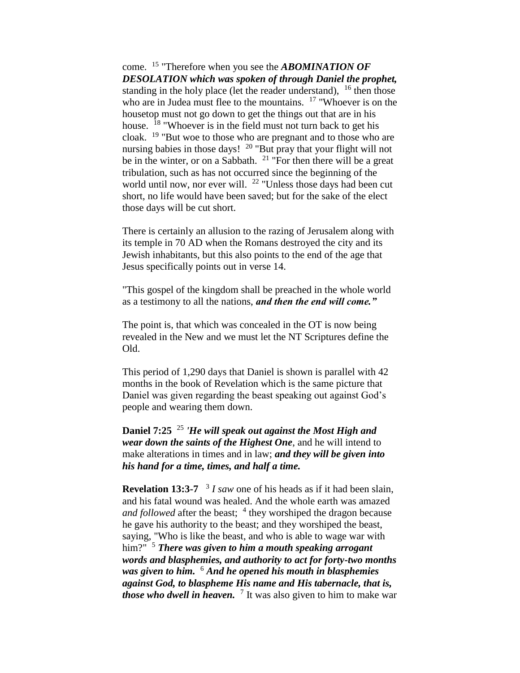come. <sup>15</sup> "Therefore when you see the *ABOMINATION OF DESOLATION which was spoken of through Daniel the prophet,*  standing in the holy place (let the reader understand),  $16$  then those who are in Judea must flee to the mountains.  $17$  "Whoever is on the housetop must not go down to get the things out that are in his house. <sup>18</sup> "Whoever is in the field must not turn back to get his cloak. <sup>19</sup> "But woe to those who are pregnant and to those who are nursing babies in those days!  $^{20}$  "But pray that your flight will not be in the winter, or on a Sabbath. <sup>21</sup> "For then there will be a great tribulation, such as has not occurred since the beginning of the world until now, nor ever will. <sup>22</sup> "Unless those days had been cut short, no life would have been saved; but for the sake of the elect those days will be cut short.

There is certainly an allusion to the razing of Jerusalem along with its temple in 70 AD when the Romans destroyed the city and its Jewish inhabitants, but this also points to the end of the age that Jesus specifically points out in verse 14.

"This gospel of the kingdom shall be preached in the whole world as a testimony to all the nations, *and then the end will come."*

The point is, that which was concealed in the OT is now being revealed in the New and we must let the NT Scriptures define the Old.

This period of 1,290 days that Daniel is shown is parallel with 42 months in the book of Revelation which is the same picture that Daniel was given regarding the beast speaking out against God's people and wearing them down.

**Daniel 7:25** <sup>25</sup> *'He will speak out against the Most High and wear down the saints of the Highest One*, and he will intend to make alterations in times and in law; *and they will be given into his hand for a time, times, and half a time.*

**Revelation 13:3-7** <sup>3</sup> *I saw* one of his heads as if it had been slain, and his fatal wound was healed. And the whole earth was amazed and followed after the beast; <sup>4</sup> they worshiped the dragon because he gave his authority to the beast; and they worshiped the beast, saying, "Who is like the beast, and who is able to wage war with him?" <sup>5</sup> *There was given to him a mouth speaking arrogant words and blasphemies, and authority to act for forty-two months was given to him.* <sup>6</sup> *And he opened his mouth in blasphemies against God, to blaspheme His name and His tabernacle, that is, those who dwell in heaven.* 7 It was also given to him to make war